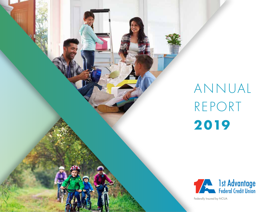



Federally Insured by NCUA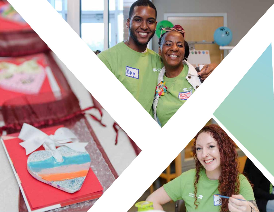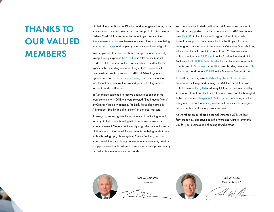# THANKS TO OUR VALUED MEMBERS

On behalf of your Board of Directors and management team, thank As a community-charted credit union, 1st Advantage continues to you for your continued membership and support of 1st Advantage be a strong supporter of our local community. In 2018, we donated Federal Credit Union. As we enter our 68th year serving the over \$149,000 to local non-profit organizations that provide financial needs of our member-owners, we value our role of being incredible support to our community. For the 11th year in a row, your trusted advisor and helping you reach your financial goals. colleagues came together to volunteer on Columbus Day, a holiday

be considered well capitalized. In 2018, 1st Advantage once again earned a Five-Star Superior rating from BauerFinancial In addition, our very own 1st Advantage Federal Credit Union Inc., the nation's most well-known independent rating service Foundation hit the ground running. In 2018, the Foundation was

by Coastal Virginia Magazine. The Daily Press also named 1st corporate steward for many years to come. Advantage "Best Financial Institution" in our local markets.

for ways to help make banking with 1st Advantage easier and <sup>rorward</sup> to new opportunities in the future and want<br>you for your business and choosing 1st Advantage! more convenient. We are continuously upgrading our technology platforms across the board. Enhancements are being made to our mobile banking app, phone system, Online Banking, and much more. In addition, we always have your account security listed as a top priority and will continue to look for ways to improve security and educate members on current trends.

where most financial institutions are closed. Colleagues were We are pleased to report that 1st Advantage remains financially able to provide over 11,755 meals to the Foodbank of the Virginia<br>Peninsula, build 17 Little Free Libraries for local elementary schools. Peninsula, build 17 Little Free Libraries for local elementary schools, worth to total asset ratio at fiscal year-end increased to 11.93%, donate over 1,700 books for the Little Free Libraries, assemble 1,03<br>toiletry bags and donate \$2,879 to the Peninsula Rescue Mission.

for banks and credit unions. able to provide 450 gifts for Military Children to be distributed by Ist Advantage continued to receive positive recognition in the Charles Contation Homefront. The Foundation also hosted a Star-Spangled<br>Is a Star-Spangled 1st Advantage continued to receive positive recognition in the Baby Baby Shower for 50 expectant Military moms. We recognize the local community. In 2018, we were selected "Best Place to Work"

As we grow, we recognize the importance of continuing to look As we reflect on our shared accomplishments in 2018, we look<br>forward to new opportunities in the future and want to say thank



Tom O. Cameron *Chairman*



Paul W. Muse *President/CEO*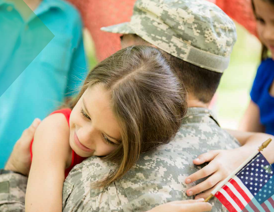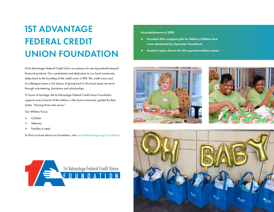# 1ST ADVANTAGE FEDERAL CREDIT UNION FOUNDATION

At 1st Advantage Federal Credit Union our passion for serving extends beyond financial products. Our commitment and dedication to our local community dates back to the founding of the credit union in 1951. The credit union and its colleagues have a rich history of giving back to the local areas we serve through volunteering, donations and scholarships.

To honor its heritage, the 1st Advantage Federal Credit Union Foundation supports every branch of the military in the local community, guided by their motto, "Serving those who serve."

Our Military Focus:

- ► Children
- ► Veterans
- ► Families in need

To find out more about our foundation, visit www.1stAdvantage.org/Foundation



### Accomplishments of 2018.

- ► Provided 450 wrapped gifts for Military Children that were distributed by Operation Homefront
- Hosted a baby shower for 50 expectant military moms





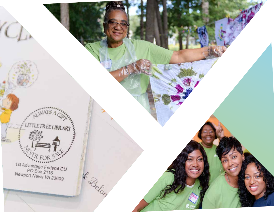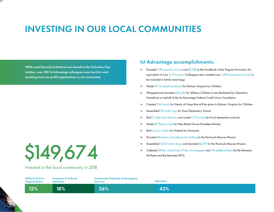# INVESTING IN OUR LOCAL COMMUNITIES

While most financial institutions are closed on the Columbus Day holiday, over 200 1st Advantage colleagues were hard at work assisting local non-profit organizations in our community.

### 1st Advantage accomplishments:

- ► Donated 1,190 pounds of food and \$2,938 to the Foodbank of the Virginia Peninsula, the equivalent of over 11,755 meals. Colleagues also created over 2,204 inspirational cards to be included in family meal bags.
- ► Made 107 tie dyed bandanas for Edmarc Hospice for Children
- ► Wrapped and donated 450 gifts for Military Children to be distributed by Operation Homefront on behalf of the 1st Advantage Federal Credit Union Foundation
- ► Created 204 hearts for Hearts of Hope that will be given to Edmarc Hospice for Children
- ► Assembled 130 math rings for Dare Elementary School
- ► Built 17 Little Free Libraries and sorted 1,771 books for local elementary schools
- ► Made 187 fleece wraps for New Beech Grove Homeless Ministry
- ► Built 3 picnic tables for Habitat for Humanity
- ► Donated 180 piece of professional clothing to the Peninsula Rescue Mission
- Assembled 1,032 toiletry bags and donated \$2,879 to the Peninsula Rescue Mission
- 

| <b>Military &amp; Civic</b> | <b>Economic &amp; Cultural</b> | <b>Community Outreach &amp; Emergency</b> | <b>Education</b> |
|-----------------------------|--------------------------------|-------------------------------------------|------------------|
| <b>Organizations</b>        | <b>Initiatives</b>             | <b>Services</b>                           |                  |
| 12%                         | 18%                            | 26%                                       | 43%              |

# Assembled 1,032 toiletry bags and donated \$2,879 to the Peninsula Rescue Mission<br>
Collected 600 lbs. of pet food, 271 lbs. of newspaper and 274 additional items for the Peninsula<br>
Pet Pantry and the Peninsula SPCA

Invested in the local community in 2018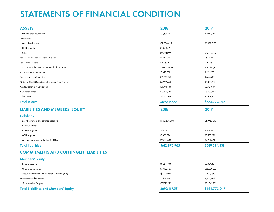# STATEMENTS OF FINANCIAL CONDITION

| <b>ASSETS</b>                                      | 2018          | 2017          |
|----------------------------------------------------|---------------|---------------|
| Cash and cash equivalents                          | \$71,801,341  | \$12,177,045  |
| Investments:                                       |               |               |
| Available-for-sale                                 | \$12,006,455  | \$11,872,557  |
| Held-to-maturity                                   | \$1,814,032   |               |
| Other                                              | \$2,723,897   | \$57,220,786  |
| Federal Home Loan Bank (FHLB) stock                | \$604,900     | \$575,200     |
| Loans held-for-sale                                | \$144,574     | \$91,466      |
| Loans receivable, net of allowance for loan losses | \$562,201,059 | \$541,476,956 |
| Accrued interest receivable                        | \$1,628,759   | \$1,524,310   |
| Premises and equipment, net                        | \$16,266,320  | \$16,635,810  |
| National Credit Union Share Insurance Fund Deposit | \$5,599,653   | \$5,308,906   |
| Assets Acquired in Liquidation                     | \$2,905,883   | \$2,921,087   |
| ACH receivables                                    | \$10,394,126  | \$8,509,740   |
| Other assets                                       | \$4,076,582   | \$6,459,184   |
| <b>Total Assets</b>                                | \$692,167,581 | \$664,773,047 |
| <b>LIABILITIES AND MEMBERS' EQUITY</b>             | 2018          | 2017          |
| <b>Liabilities</b>                                 |               |               |
| Members' share and savings accounts                | \$600,894,000 | \$570,871,404 |
| Borrowed funds                                     |               |               |
| Interest payable                                   | \$450,206     | \$312,833     |
| ACH payables                                       | \$1,856,076   | \$8,508,670   |
| Accrued expenses and other liabilities             | \$9,776,683   | \$9,701,424   |
| <b>Total liabilities</b>                           | \$612,976,965 | \$589,394,331 |
| <b>COMMITMENTS AND CONTINGENT LIABILITIES</b>      |               |               |
| <b>Members' Equity</b>                             |               |               |
| Regular reserve                                    | \$8,824,404   | \$8,824,404   |
| Undivided earnings                                 | \$69,160,755  | \$65,300,337  |
| Accumulated other comprehensive income (loss)      | (\$222,507)   | (\$202,966)   |
| Equity acquired in merger                          | \$1,427,964   | \$1,427,964   |
| Total members' equity                              | \$79,190,616  | \$75,349,739  |
| <b>Total Liabilities and Members' Equity</b>       | \$692,167,581 | \$664,773,047 |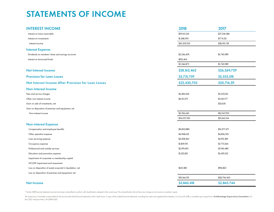## STATEMENTS OF INCOME

| <b>INTEREST INCOME</b>                                     | 2018         | 2017         |
|------------------------------------------------------------|--------------|--------------|
| Interest on loans receivable                               | \$29,141,242 | \$27,236,586 |
| Interest on investments                                    | \$1,368,093  | \$774,132    |
| Interest Income                                            | \$30,509,335 | \$28,010,718 |
| <b>Interest Expense</b>                                    |              |              |
| Dividends on members' share and savings accounts           | \$2,246,409  | \$1,740,989  |
| Interest on borrowed funds                                 | \$100,464    |              |
|                                                            | \$2,346,873  | \$1,740,989  |
| <b>Net Interest Income</b>                                 | \$28,162,462 | \$26,269,729 |
| <b>Provision for Loan Losses</b>                           | \$5,731,759  | \$5,555,518  |
| Net Interest Income After Provision for Loan Losses        | \$22,430,703 | \$20,714,211 |
| <b>Non-Interest Income</b>                                 |              |              |
| Fees and service charges                                   | \$5,484,260  | \$5,553,126  |
| Other non-interest income                                  | \$6,112,370  | \$5,361,177  |
| Gain on sale of investments, net                           |              | \$33,630     |
| Gain on disposition of premises and equipment, net         |              |              |
| Non-interest income                                        | \$11,596,630 | \$10,947,933 |
|                                                            | \$34,027,333 | \$31,662,144 |
| <b>Non-interest Expense</b>                                |              |              |
| Compensation and employee benefits                         | \$14,855,883 | \$14,377,471 |
| Other operation expense                                    | \$4,968,633  | \$4,856,325  |
| Loan servicing expense                                     | \$4,308,360  | \$4,192,385  |
| Occupancy expense                                          | \$1,859,951  | \$1,773,364  |
| Professional and outside services                          | \$2,199,695  | \$1,940,480  |
| Education and promotion expense                            | \$1,322,813  | \$1,459,553  |
| Impairment of corporate cu membership capital              |              |              |
| NCUSIF impairment and assessment                           |              |              |
| Loss on disposition of assets acquired in liquidation, net | \$651,580    | \$196,822    |
| Loss on disposition of premises and equipment, net         |              |              |
|                                                            | \$30,166,915 | \$28,796,400 |
| <b>Net Income</b>                                          | \$3,860,418  | \$2,865,744  |

\*Certain 2018 financial statement amounts have been reclassified to conform with classifications adopted in the current year. This reclassification did not have any change on net income or members' equity.

The Supervisory Committee is responsible for the annual audit of the financial statements of the Credit Union. A copy of the audited financial statements, including foot notes and supplemental schedules, as of June 30, 201 Box 2327, Newport News, VA 23609-0327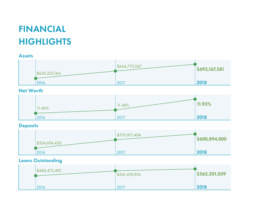# FINANCIAL **HIGHLIGHTS**

### Assets



### Net Worth



### **Deposits**



### Loans Outstanding

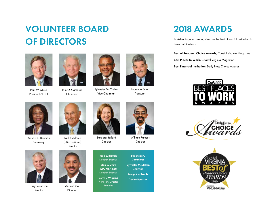# VOLUNTEER BOARD OF DIRECTORS



Paul W. Muse President/CEO



Tom O. Cameron Chairman



Sylvester McClellan Vice Chairman



Laurence Smail Treasurer



Brenda B. Dawson Secretary



Paul J. Adamo (LTC, USA Ret) **Director** 





Barbara Ballard Director



William Ramsey **Director** 



Larry Tonneson Director



Andrae Via Director

Fred E. Blough Supervisory Director Emeritus **Committee** (LTC, USA Ret) Chairman Betty L. Wiggins<br>
Denise Peterson

Honorary Director **Emeritus** 

Blair E. Smith Sylvester McClellan Director Emeritus **Josephine Krantz** 

# 2018 AWARDS

1st Advantage was recognized as the best Financial Institution in three publications!

Best of Readers' Choice Awards, Coastal Virginia Magazine

Best Places to Work, Coastal Virginia Magazine

Best Financial Institution, Daily Press Choice Awards